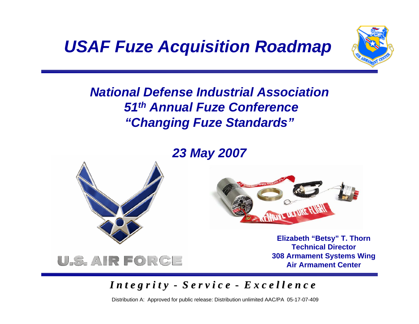*USAF Fuze Acquisition Roadmap*



#### *National Defense Industrial Association51th Annual Fuze Conference "Changing Fuze Standards"*

#### *23 May 2007*



U.S. AIR FORGE



**Elizabeth "Betsy" T. Thorn Technical Director308 Armament Systems Wing Air Armament Center**

#### *I n t e g r i t y I n t e g r i t y - S e r v i c e S e r v i c e - E x c e l l e n c e E x c e l l e n c e*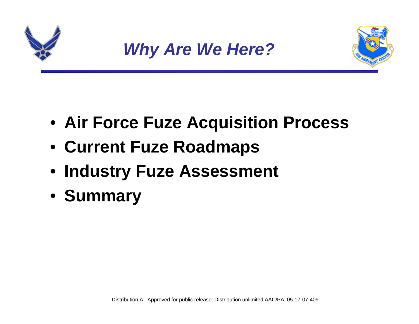





- **Air Force Fuze Acquisition Process**
- **Current Fuze Roadmaps**
- **Industry Fuze Assessment**
- **Summary**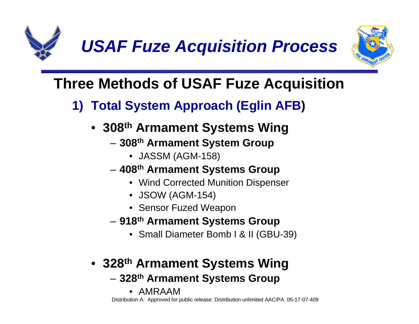

*USAF Fuze Acquisition Process*



# **Three Methods of USAF Fuze Acquisition**

- **1) Total System Approach (Eglin AFB )**
	- **308th Armament Systems Wing**
		- **308th Armament System Group**
			- JASSM (AGM-158)
		- **408th Armament Systems Group**
			- Wind Corrected Munition Dispenser
			- JSOW (AGM-154)
			- Sensor Fuzed Weapon
		- **918th Armament Systems Group**
			- Small Diameter Bomb I & II (GBU-39)
	- **328th Armament Systems Wing**
		- **328th Armament Systems Group**
			- •AMRAAM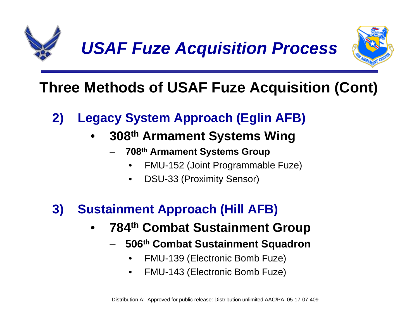

# **Three Methods of USAF Fuze Acquisition (Cont)**

## **2) Legacy System Approach (Eglin AFB)**

#### • **308th Armament Systems Wing**

- **708th Armament Systems Group**
	- •FMU-152 (Joint Programmable Fuze)
	- •DSU-33 (Proximity Sensor)

## **3) Sustainment Approach (Hill AFB)**

- • **784th Combat Sustainment Group**
	- **506th Combat Sustainment Squadron**
		- •FMU-139 (Electronic Bomb Fuze)
		- •FMU-143 (Electronic Bomb Fuze)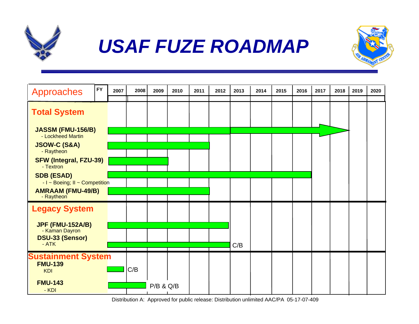

# *USAF FUZE ROADMAP*



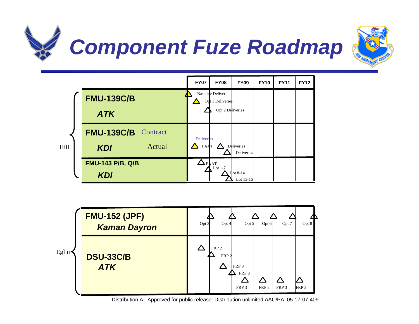





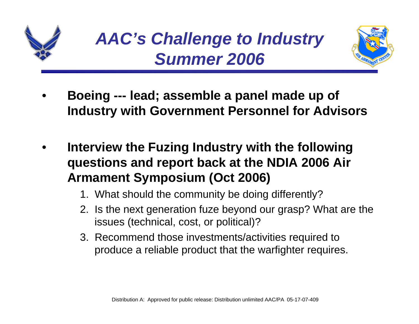



- • **Boeing --- lead; assemble a panel made up of Industry with Government Personnel for Advisors**
- • **Interview the Fuzing Industry with the following questions and report back at the NDIA 2006 Air Armament Symposium (Oct 2006)**
	- 1. What should the community be doing differently?
	- 2. Is the next generation fuze beyond our grasp? What are the issues (technical, cost, or political)?
	- 3. Recommend those investments/activities required to produce a reliable product that the warfighter requires.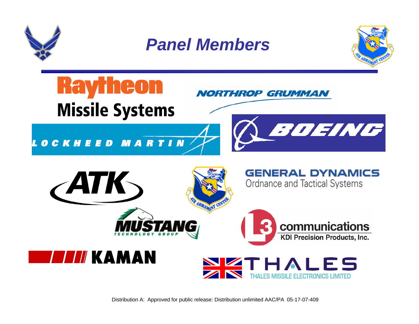

*Panel Members*



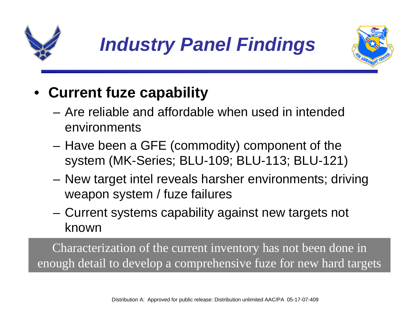





# • **Current fuze capability**

- Are reliable and affordable when used in intended environments
- – Have been a GFE (commodity) component of the system (MK-Series; BLU-109; BLU-113; BLU-121)
- – New target intel reveals harsher environments; driving weapon system / fuze failures
- – Current systems capability against new targets not known

Characterization of the current inventory has not been done in enough detail to develop a comprehensive fuze for new hard targets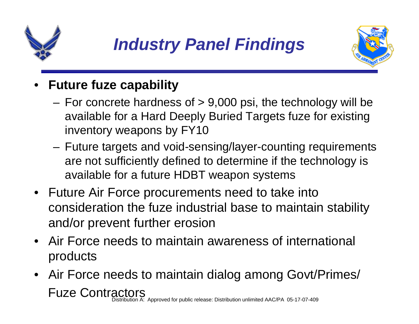

# *Industry Panel Findings*



#### •**Future fuze capability**

- For concrete hardness of  $> 9,000$  psi, the technology will be available for a Hard Deeply Buried Targets fuze for existing inventory weapons by FY10
- Future targets and void-sensing/layer-counting requirements are not sufficiently defined to determine if the technology is available for a future HDBT weapon systems
- Future Air Force procurements need to take into consideration the fuze industrial base to maintain stability and/or prevent further erosion
- Air Force needs to maintain awareness of international products
- Air Force needs to maintain dialog among Govt/Primes/ Fuze Contractors Distribution A: Approved for public release: Distribution unlimited AAC/PA 05-17-07-409